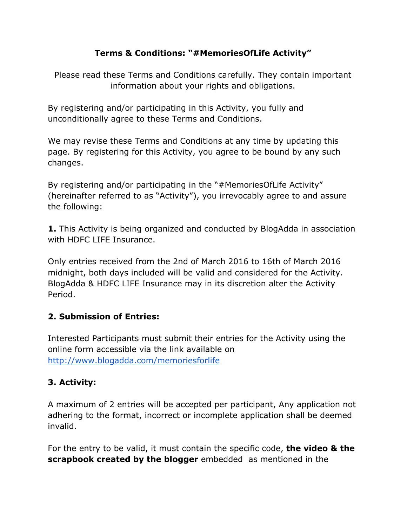### **Terms & Conditions: "#MemoriesOfLife Activity"**

Please read these Terms and Conditions carefully. They contain important information about your rights and obligations.

By registering and/or participating in this Activity, you fully and unconditionally agree to these Terms and Conditions.

We may revise these Terms and Conditions at any time by updating this page. By registering for this Activity, you agree to be bound by any such changes.

By registering and/or participating in the "#MemoriesOfLife Activity" (hereinafter referred to as "Activity"), you irrevocably agree to and assure the following:

**1.**This Activity is being organized and conducted by BlogAdda in association with HDFC LIFE Insurance.

Only entries received from the 2nd of March 2016 to 16th of March 2016 midnight, both days included will be valid and considered for the Activity. BlogAdda & HDFC LIFE Insurance may in its discretion alter the Activity Period.

### **2. Submission of Entries:**

Interested Participants must submit their entries for the Activity using the online form accessible via the link available on <http://www.blogadda.com/memoriesforlife>

# **3. Activity:**

A maximum of 2 entries will be accepted per participant, Any application not adhering to the format, incorrect or incomplete application shall be deemed invalid.

For the entry to be valid, it must contain the specific code, **the video & the scrapbook created by the blogger** embedded as mentioned in the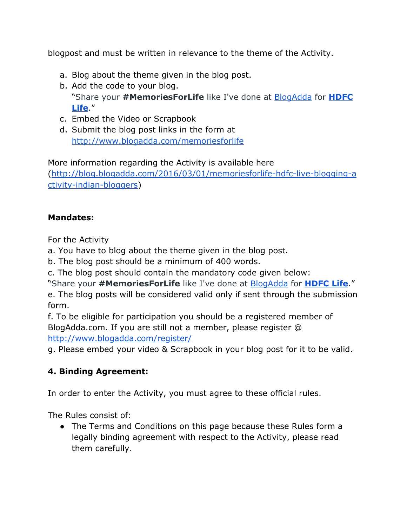blogpost and must be written in relevance to the theme of the Activity.

- a. Blog about the theme given in the blog post.
- b. Add the code to your blog. "Share your **#MemoriesForLife**like I've done at [BlogAdda](http://www.blogadda.com/) for **[HDFC](https://memories.hdfclife.com/) [Life](https://memories.hdfclife.com/)**."
- c. Embed the Video or Scrapbook
- d. Submit the blog post links in the form at <http://www.blogadda.com/memoriesforlife>

More information regarding the Activity is available here (http://blog.blogadda.com/2016/03/01/memoriesforlife-hdfc-live-blogging-a ctivity-indian-bloggers)

#### **Mandates:**

For the Activity

a. You have to blog about the theme given in the blog post.

b. The blog post should be a minimum of 400 words.

c. The blog post should contain the mandatory code given below:

"Share your **#MemoriesForLife**like I've done at [BlogAdda](http://www.blogadda.com/) for **[HDFC](https://memories.hdfclife.com/) Life**."

e. The blog posts will be considered valid only if sent through the submission form.

f. To be eligible for participation you should be a registered member of BlogAdda.com. If you are still not a member, please register @ <http://www.blogadda.com/register/>

g. Please embed your video & Scrapbook in your blog post for it to be valid.

### **4. Binding Agreement:**

In order to enter the Activity, you must agree to these official rules.

The Rules consist of:

• The Terms and Conditions on this page because these Rules form a legally binding agreement with respect to the Activity, please read them carefully.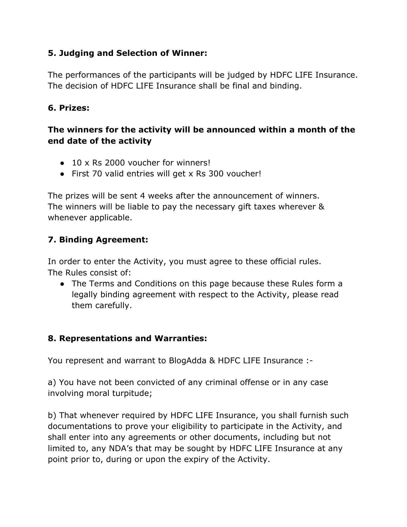### **5. Judging and Selection of Winner:**

The performances of the participants will be judged by HDFC LIFE Insurance. The decision of HDFC LIFE Insurance shall be final and binding.

### **6. Prizes:**

### **The winners for the activity will be announced within a month of the end date of the activity**

- $\bullet$  10 x Rs 2000 voucher for winners!
- First 70 valid entries will get x Rs 300 voucher!

The prizes will be sent 4 weeks after the announcement of winners. The winners will be liable to pay the necessary gift taxes wherever & whenever applicable.

## **7. Binding Agreement:**

In order to enter the Activity, you must agree to these official rules. The Rules consist of:

• The Terms and Conditions on this page because these Rules form a legally binding agreement with respect to the Activity, please read them carefully.

### **8. Representations and Warranties:**

You represent and warrant to BlogAdda & HDFC LIFE Insurance :

a) You have not been convicted of any criminal offense or in any case involving moral turpitude;

b) That whenever required by HDFC LIFE Insurance, you shall furnish such documentations to prove your eligibility to participate in the Activity, and shall enter into any agreements or other documents, including but not limited to, any NDA's that may be sought by HDFC LIFE Insurance at any point prior to, during or upon the expiry of the Activity.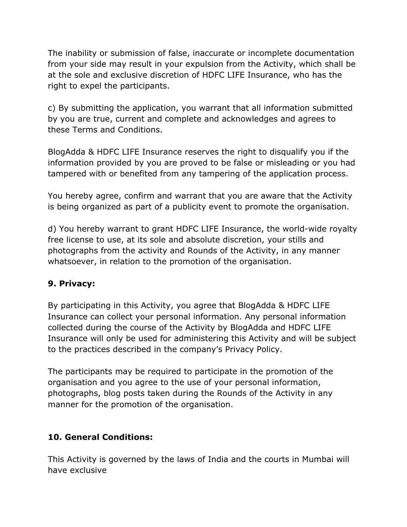The inability or submission of false, inaccurate or incomplete documentation from your side may result in your expulsion from the Activity, which shall be at the sole and exclusive discretion of HDFC LIFE Insurance, who has the right to expel the participants.

c) By submitting the application, you warrant that all information submitted by you are true, current and complete and acknowledges and agrees to these Terms and Conditions.

BlogAdda & HDFC LIFE Insurance reserves the right to disqualify you if the information provided by you are proved to be false or misleading or you had tampered with or benefited from any tampering of the application process.

You hereby agree, confirm and warrant that you are aware that the Activity is being organized as part of a publicity event to promote the organisation.

d) You hereby warrant to grant HDFC LIFE Insurance, the world-wide royalty free license to use, at its sole and absolute discretion, your stills and photographs from the activity and Rounds of the Activity, in any manner whatsoever, in relation to the promotion of the organisation.

### **9. Privacy:**

By participating in this Activity, you agree that BlogAdda & HDFC LIFE Insurance can collect your personal information. Any personal information collected during the course of the Activity by BlogAdda and HDFC LIFE Insurance will only be used for administering this Activity and will be subject to the practices described in the company's Privacy Policy.

The participants may be required to participate in the promotion of the organisation and you agree to the use of your personal information, photographs, blog posts taken during the Rounds of the Activity in any manner for the promotion of the organisation.

### **10. General Conditions:**

This Activity is governed by the laws of India and the courts in Mumbai will have exclusive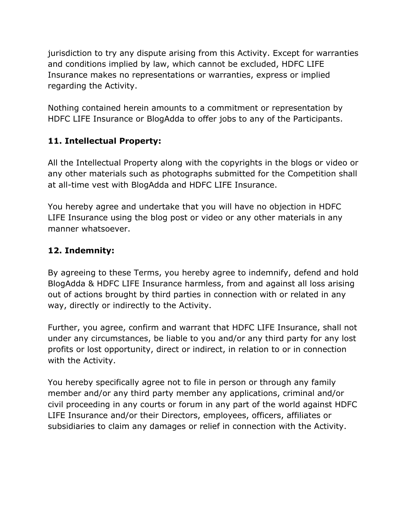jurisdiction to try any dispute arising from this Activity. Except for warranties and conditions implied by law, which cannot be excluded, HDFC LIFE Insurance makes no representations or warranties, express or implied regarding the Activity.

Nothing contained herein amounts to a commitment or representation by HDFC LIFE Insurance or BlogAdda to offer jobs to any of the Participants.

## **11. Intellectual Property:**

All the Intellectual Property along with the copyrights in the blogs or video or any other materials such as photographs submitted for the Competition shall at all-time vest with BlogAdda and HDFC LIFE Insurance.

You hereby agree and undertake that you will have no objection in HDFC LIFE Insurance using the blog post or video or any other materials in any manner whatsoever.

## **12. Indemnity:**

By agreeing to these Terms, you hereby agree to indemnify, defend and hold BlogAdda & HDFC LIFE Insurance harmless, from and against all loss arising out of actions brought by third parties in connection with or related in any way, directly or indirectly to the Activity.

Further, you agree, confirm and warrant that HDFC LIFE Insurance, shall not under any circumstances, be liable to you and/or any third party for any lost profits or lost opportunity, direct or indirect, in relation to or in connection with the Activity.

You hereby specifically agree not to file in person or through any family member and/or any third party member any applications, criminal and/or civil proceeding in any courts or forum in any part of the world against HDFC LIFE Insurance and/or their Directors, employees, officers, affiliates or subsidiaries to claim any damages or relief in connection with the Activity.